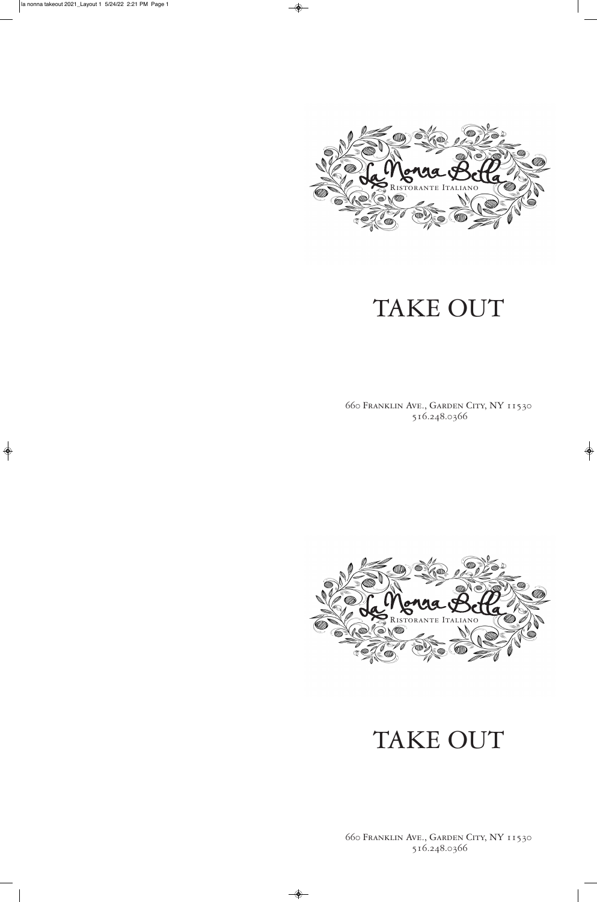

660 Franklin Ave., Garden City, NY 11530 516.248.0366

 $\bigoplus$ 

# TAKE OUT



660 Franklin Ave., Garden City, NY 11530 516.248.0366

 $\overline{\bullet}$ 

# TAKE OUT

 $\Rightarrow$